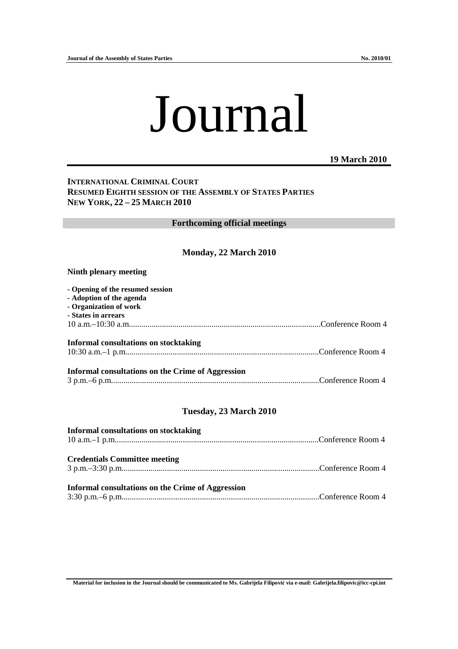# Journal

## **19 March 2010**

# **INTERNATIONAL CRIMINAL COURT RESUMED EIGHTH SESSION OF THE ASSEMBLY OF STATES PARTIES NEW YORK, 22 – 25 MARCH 2010**

### **Forthcoming official meetings**

## **Monday, 22 March 2010**

## **Ninth plenary meeting**

| - Opening of the resumed session                         |  |
|----------------------------------------------------------|--|
| - Adoption of the agenda                                 |  |
| - Organization of work                                   |  |
| - States in arrears                                      |  |
|                                                          |  |
| Informal consultations on stocktaking                    |  |
|                                                          |  |
| <b>Informal consultations on the Crime of Aggression</b> |  |
|                                                          |  |

# **Tuesday, 23 March 2010**

| Informal consultations on stocktaking             |  |
|---------------------------------------------------|--|
|                                                   |  |
|                                                   |  |
| <b>Credentials Committee meeting</b>              |  |
|                                                   |  |
|                                                   |  |
| Informal consultations on the Crime of Aggression |  |
|                                                   |  |

**Material for inclusion in the Journal should be communicated to Ms. Gabrijela Filipovi**ć **via e-mail: Gabrijela.filipovic@icc-cpi.int**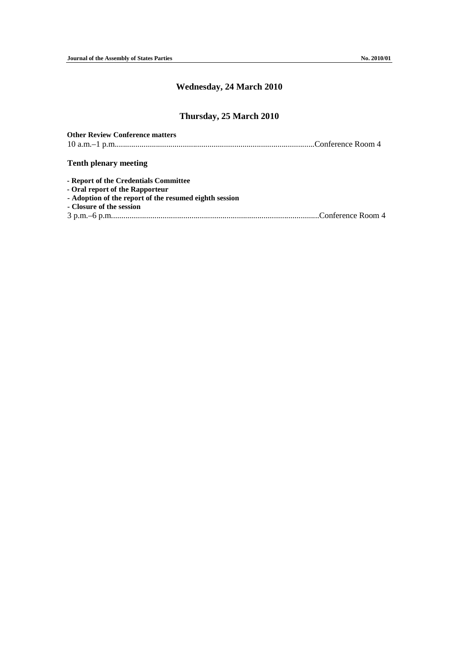# **Wednesday, 24 March 2010**

# **Thursday, 25 March 2010**

**Other Review Conference matters** 

10 a.m.–1 p.m.................................................................................................Conference Room 4

# **Tenth plenary meeting**

| - Report of the Credentials Committee                  |  |
|--------------------------------------------------------|--|
| - Oral report of the Rapporteur                        |  |
| - Adoption of the report of the resumed eighth session |  |
| - Closure of the session                               |  |
|                                                        |  |
|                                                        |  |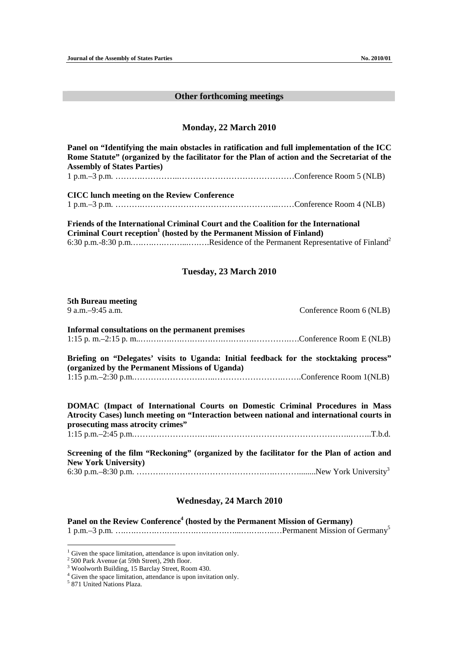## **Other forthcoming meetings**

#### **Monday, 22 March 2010**

**Panel on "Identifying the main obstacles in ratification and full implementation of the ICC Rome Statute" (organized by the facilitator for the Plan of action and the Secretariat of the Assembly of States Parties)**  1 p.m.–3 p.m. ……….…………..……………………………………Conference Room 5 (NLB) **CICC lunch meeting on the Review Conference**  1 p.m.–3 p.m. ……….…………………………………………..……Conference Room 4 (NLB) **Friends of the International Criminal Court and the Coalition for the International Criminal Court reception<sup>1</sup> (hosted by the Permanent Mission of Finland)** 6:30 p.m.-8:30 p.m.….….….….…...….….Residence of the Permanent Representative of Finland<sup>2</sup> **Tuesday, 23 March 2010 5th Bureau meeting**<br>9 a.m.–9:45 a.m. Conference Room 6 (NLB) **Informal consultations on the permanent premises**  1:15 p. m.–2:15 p. m..….….….….….….….….….….….………….….Conference Room E (NLB) **Briefing on "Delegates' visits to Uganda: Initial feedback for the stocktaking process" (organized by the Permanent Missions of Uganda)**  1:15 p.m.–2:30 p.m.…………………….…..…………………….…….Conference Room 1(NLB) **DOMAC (Impact of International Courts on Domestic Criminal Procedures in Mass Atrocity Cases) lunch meeting on "Interaction between national and international courts in prosecuting mass atrocity crimes"**  1:15 p.m.–2:45 p.m.…………………….…..…………………………………………..……..T.b.d. **Screening of the film "Reckoning" (organized by the facilitator for the Plan of action and New York University)**  6:30 p.m.–8:30 p.m. ……….……………………………….….………........New York University<sup>3</sup>

# **Wednesday, 24 March 2010**

**Panel on the Review Conference<sup>4</sup> (hosted by the Permanent Mission of Germany)**  1 p.m.–3 p.m. ….….….….….….…….….….….…...….….…..…Permanent Mission of Germany<sup>5</sup>

 1 Given the space limitation, attendance is upon invitation only.

 $2500$  Park Avenue (at 59th Street), 29th floor.

<sup>&</sup>lt;sup>3</sup> Woolworth Building, 15 Barclay Street, Room 430.

<sup>&</sup>lt;sup>4</sup> Given the space limitation, attendance is upon invitation only.

<sup>5</sup> 871 United Nations Plaza.